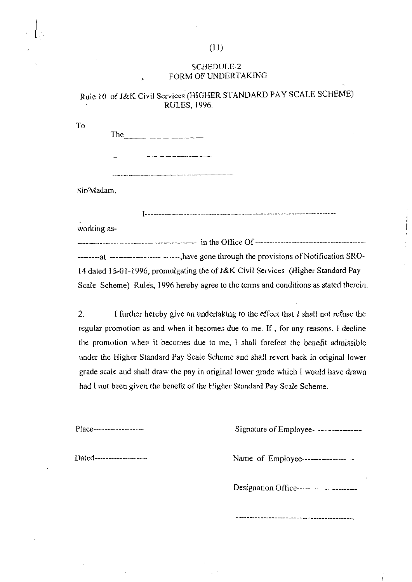## SCHEDULE-2 FORM OF UNDERTAKING

# Rule 10 of J&K Civil Services (HIGHER STANDARD PAY SCALE SCHEME) RULES, 1996.

To

The  $\qquad \qquad \qquad \qquad$ 

Sir/Madam,

----------------------------

j

working as-

-----.---.-..-.- ~------...--.-. in the Office Of -.-.--.---------------- - ---- ------------ . - -. -. -. at -------------------------,have gone through the provisions of Notification SRO-14 dated 15-01-1996, promulgating the of J&K Civil Services (Higher Standard Pay Scale Scheme) Rules, 1996 hereby agree to the terms and conditions as stated therein.

2. 1 further hereby give an undertaking to the effect that I shall not refuse the regular promotion as and when it becomes due to me. If, for any reasons, **1** decline the promotion when it becomes due to me, I shall forefeet the benefit admissible under the Higher Standard Pay Scale Scheme and shall revert back in original lower grade scale and shall draw the pay in original lower grade which I would have drawn had I not been given the benefit of ihe Higher Standard Pay Scale Scheme.

| $Place$ ------------------- | Signature of Employee------------------    |
|-----------------------------|--------------------------------------------|
| Dated--------------------   | Name of Employee--------------------       |
|                             | Designation Office------------------------ |
|                             |                                            |

### $(11)$